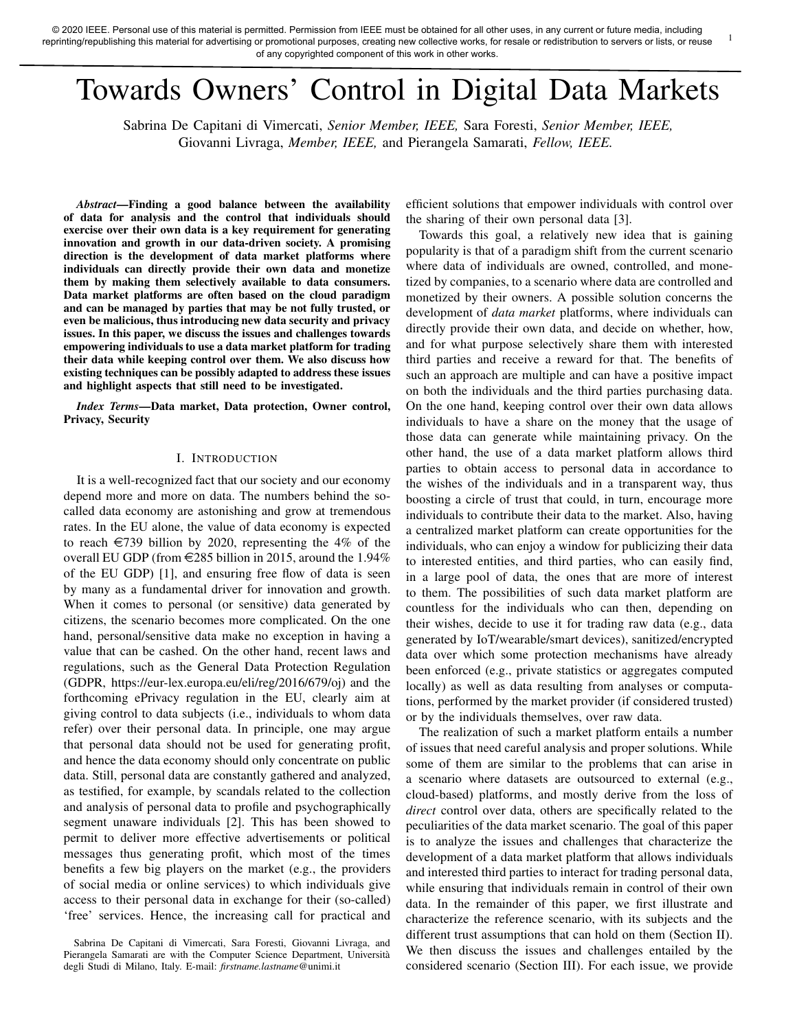# Towards Owners' Control in Digital Data Markets

Sabrina De Capitani di Vimercati, *Senior Member, IEEE,* Sara Foresti, *Senior Member, IEEE,* Giovanni Livraga, *Member, IEEE,* and Pierangela Samarati, *Fellow, IEEE.*

*Abstract*—Finding a good balance between the availability of data for analysis and the control that individuals should exercise over their own data is a key requirement for generating innovation and growth in our data-driven society. A promising direction is the development of data market platforms where individuals can directly provide their own data and monetize them by making them selectively available to data consumers. Data market platforms are often based on the cloud paradigm and can be managed by parties that may be not fully trusted, or even be malicious, thus introducing new data security and privacy issues. In this paper, we discuss the issues and challenges towards empowering individuals to use a data market platform for trading their data while keeping control over them. We also discuss how existing techniques can be possibly adapted to address these issues and highlight aspects that still need to be investigated.

*Index Terms*—Data market, Data protection, Owner control, Privacy, Security

# I. INTRODUCTION

It is a well-recognized fact that our society and our economy depend more and more on data. The numbers behind the socalled data economy are astonishing and grow at tremendous rates. In the EU alone, the value of data economy is expected to reach  $\in$ 739 billion by 2020, representing the 4% of the overall EU GDP (from  $\in$  285 billion in 2015, around the 1.94% of the EU GDP) [1], and ensuring free flow of data is seen by many as a fundamental driver for innovation and growth. When it comes to personal (or sensitive) data generated by citizens, the scenario becomes more complicated. On the one hand, personal/sensitive data make no exception in having a value that can be cashed. On the other hand, recent laws and regulations, such as the General Data Protection Regulation (GDPR, https://eur-lex.europa.eu/eli/reg/2016/679/oj) and the forthcoming ePrivacy regulation in the EU, clearly aim at giving control to data subjects (i.e., individuals to whom data refer) over their personal data. In principle, one may argue that personal data should not be used for generating profit, and hence the data economy should only concentrate on public data. Still, personal data are constantly gathered and analyzed, as testified, for example, by scandals related to the collection and analysis of personal data to profile and psychographically segment unaware individuals [2]. This has been showed to permit to deliver more effective advertisements or political messages thus generating profit, which most of the times benefits a few big players on the market (e.g., the providers of social media or online services) to which individuals give access to their personal data in exchange for their (so-called) 'free' services. Hence, the increasing call for practical and

efficient solutions that empower individuals with control over the sharing of their own personal data [3].

1

Towards this goal, a relatively new idea that is gaining popularity is that of a paradigm shift from the current scenario where data of individuals are owned, controlled, and monetized by companies, to a scenario where data are controlled and monetized by their owners. A possible solution concerns the development of *data market* platforms, where individuals can directly provide their own data, and decide on whether, how, and for what purpose selectively share them with interested third parties and receive a reward for that. The benefits of such an approach are multiple and can have a positive impact on both the individuals and the third parties purchasing data. On the one hand, keeping control over their own data allows individuals to have a share on the money that the usage of those data can generate while maintaining privacy. On the other hand, the use of a data market platform allows third parties to obtain access to personal data in accordance to the wishes of the individuals and in a transparent way, thus boosting a circle of trust that could, in turn, encourage more individuals to contribute their data to the market. Also, having a centralized market platform can create opportunities for the individuals, who can enjoy a window for publicizing their data to interested entities, and third parties, who can easily find, in a large pool of data, the ones that are more of interest to them. The possibilities of such data market platform are countless for the individuals who can then, depending on their wishes, decide to use it for trading raw data (e.g., data generated by IoT/wearable/smart devices), sanitized/encrypted data over which some protection mechanisms have already been enforced (e.g., private statistics or aggregates computed locally) as well as data resulting from analyses or computations, performed by the market provider (if considered trusted) or by the individuals themselves, over raw data.

The realization of such a market platform entails a number of issues that need careful analysis and proper solutions. While some of them are similar to the problems that can arise in a scenario where datasets are outsourced to external (e.g., cloud-based) platforms, and mostly derive from the loss of *direct* control over data, others are specifically related to the peculiarities of the data market scenario. The goal of this paper is to analyze the issues and challenges that characterize the development of a data market platform that allows individuals and interested third parties to interact for trading personal data, while ensuring that individuals remain in control of their own data. In the remainder of this paper, we first illustrate and characterize the reference scenario, with its subjects and the different trust assumptions that can hold on them (Section II). We then discuss the issues and challenges entailed by the considered scenario (Section III). For each issue, we provide

Sabrina De Capitani di Vimercati, Sara Foresti, Giovanni Livraga, and Pierangela Samarati are with the Computer Science Department, Università degli Studi di Milano, Italy. E-mail: *firstname.lastname*@unimi.it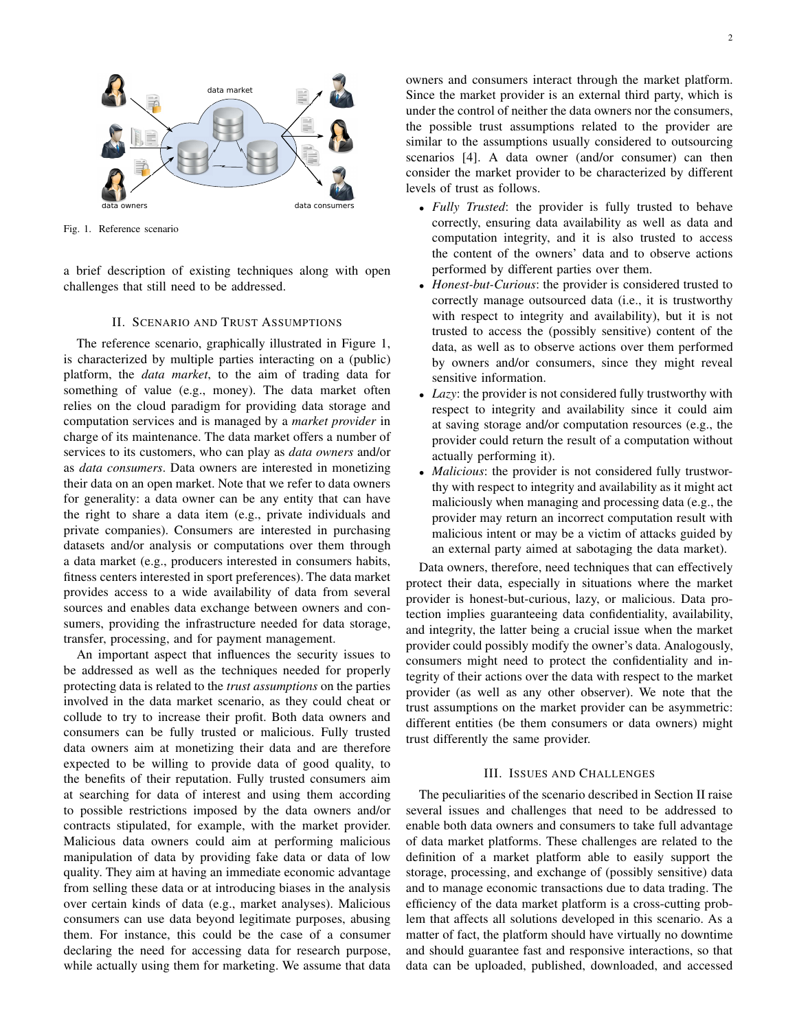

Fig. 1. Reference scenario

a brief description of existing techniques along with open challenges that still need to be addressed.

#### II. SCENARIO AND TRUST ASSUMPTIONS

The reference scenario, graphically illustrated in Figure 1, is characterized by multiple parties interacting on a (public) platform, the *data market*, to the aim of trading data for something of value (e.g., money). The data market often relies on the cloud paradigm for providing data storage and computation services and is managed by a *market provider* in charge of its maintenance. The data market offers a number of services to its customers, who can play as *data owners* and/or as *data consumers*. Data owners are interested in monetizing their data on an open market. Note that we refer to data owners for generality: a data owner can be any entity that can have the right to share a data item (e.g., private individuals and private companies). Consumers are interested in purchasing datasets and/or analysis or computations over them through a data market (e.g., producers interested in consumers habits, fitness centers interested in sport preferences). The data market provides access to a wide availability of data from several sources and enables data exchange between owners and consumers, providing the infrastructure needed for data storage, transfer, processing, and for payment management.

An important aspect that influences the security issues to be addressed as well as the techniques needed for properly protecting data is related to the *trust assumptions* on the parties involved in the data market scenario, as they could cheat or collude to try to increase their profit. Both data owners and consumers can be fully trusted or malicious. Fully trusted data owners aim at monetizing their data and are therefore expected to be willing to provide data of good quality, to the benefits of their reputation. Fully trusted consumers aim at searching for data of interest and using them according to possible restrictions imposed by the data owners and/or contracts stipulated, for example, with the market provider. Malicious data owners could aim at performing malicious manipulation of data by providing fake data or data of low quality. They aim at having an immediate economic advantage from selling these data or at introducing biases in the analysis over certain kinds of data (e.g., market analyses). Malicious consumers can use data beyond legitimate purposes, abusing them. For instance, this could be the case of a consumer declaring the need for accessing data for research purpose, while actually using them for marketing. We assume that data

owners and consumers interact through the market platform. Since the market provider is an external third party, which is under the control of neither the data owners nor the consumers, the possible trust assumptions related to the provider are similar to the assumptions usually considered to outsourcing scenarios [4]. A data owner (and/or consumer) can then consider the market provider to be characterized by different levels of trust as follows.

- *Fully Trusted*: the provider is fully trusted to behave correctly, ensuring data availability as well as data and computation integrity, and it is also trusted to access the content of the owners' data and to observe actions performed by different parties over them.
- *Honest-but-Curious*: the provider is considered trusted to correctly manage outsourced data (i.e., it is trustworthy with respect to integrity and availability), but it is not trusted to access the (possibly sensitive) content of the data, as well as to observe actions over them performed by owners and/or consumers, since they might reveal sensitive information.
- *Lazy*: the provider is not considered fully trustworthy with respect to integrity and availability since it could aim at saving storage and/or computation resources (e.g., the provider could return the result of a computation without actually performing it).
- *Malicious*: the provider is not considered fully trustworthy with respect to integrity and availability as it might act maliciously when managing and processing data (e.g., the provider may return an incorrect computation result with malicious intent or may be a victim of attacks guided by an external party aimed at sabotaging the data market).

Data owners, therefore, need techniques that can effectively protect their data, especially in situations where the market provider is honest-but-curious, lazy, or malicious. Data protection implies guaranteeing data confidentiality, availability, and integrity, the latter being a crucial issue when the market provider could possibly modify the owner's data. Analogously, consumers might need to protect the confidentiality and integrity of their actions over the data with respect to the market provider (as well as any other observer). We note that the trust assumptions on the market provider can be asymmetric: different entities (be them consumers or data owners) might trust differently the same provider.

#### III. ISSUES AND CHALLENGES

The peculiarities of the scenario described in Section II raise several issues and challenges that need to be addressed to enable both data owners and consumers to take full advantage of data market platforms. These challenges are related to the definition of a market platform able to easily support the storage, processing, and exchange of (possibly sensitive) data and to manage economic transactions due to data trading. The efficiency of the data market platform is a cross-cutting problem that affects all solutions developed in this scenario. As a matter of fact, the platform should have virtually no downtime and should guarantee fast and responsive interactions, so that data can be uploaded, published, downloaded, and accessed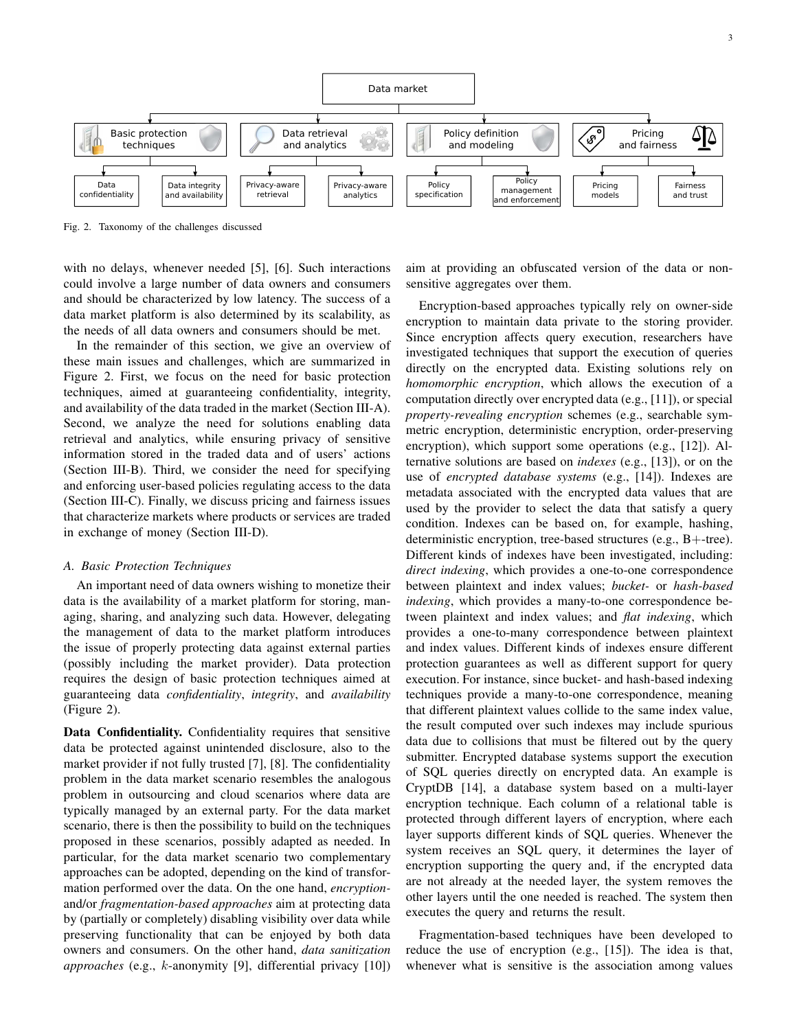

Fig. 2. Taxonomy of the challenges discussed

with no delays, whenever needed [5], [6]. Such interactions could involve a large number of data owners and consumers and should be characterized by low latency. The success of a data market platform is also determined by its scalability, as the needs of all data owners and consumers should be met.

In the remainder of this section, we give an overview of these main issues and challenges, which are summarized in Figure 2. First, we focus on the need for basic protection techniques, aimed at guaranteeing confidentiality, integrity, and availability of the data traded in the market (Section III-A). Second, we analyze the need for solutions enabling data retrieval and analytics, while ensuring privacy of sensitive information stored in the traded data and of users' actions (Section III-B). Third, we consider the need for specifying and enforcing user-based policies regulating access to the data (Section III-C). Finally, we discuss pricing and fairness issues that characterize markets where products or services are traded in exchange of money (Section III-D).

#### *A. Basic Protection Techniques*

An important need of data owners wishing to monetize their data is the availability of a market platform for storing, managing, sharing, and analyzing such data. However, delegating the management of data to the market platform introduces the issue of properly protecting data against external parties (possibly including the market provider). Data protection requires the design of basic protection techniques aimed at guaranteeing data *confidentiality*, *integrity*, and *availability* (Figure 2).

Data Confidentiality. Confidentiality requires that sensitive data be protected against unintended disclosure, also to the market provider if not fully trusted [7], [8]. The confidentiality problem in the data market scenario resembles the analogous problem in outsourcing and cloud scenarios where data are typically managed by an external party. For the data market scenario, there is then the possibility to build on the techniques proposed in these scenarios, possibly adapted as needed. In particular, for the data market scenario two complementary approaches can be adopted, depending on the kind of transformation performed over the data. On the one hand, *encryption*and/or *fragmentation-based approaches* aim at protecting data by (partially or completely) disabling visibility over data while preserving functionality that can be enjoyed by both data owners and consumers. On the other hand, *data sanitization approaches* (e.g., k-anonymity [9], differential privacy [10])

aim at providing an obfuscated version of the data or nonsensitive aggregates over them.

Encryption-based approaches typically rely on owner-side encryption to maintain data private to the storing provider. Since encryption affects query execution, researchers have investigated techniques that support the execution of queries directly on the encrypted data. Existing solutions rely on *homomorphic encryption*, which allows the execution of a computation directly over encrypted data (e.g., [11]), or special *property-revealing encryption* schemes (e.g., searchable symmetric encryption, deterministic encryption, order-preserving encryption), which support some operations (e.g., [12]). Alternative solutions are based on *indexes* (e.g., [13]), or on the use of *encrypted database systems* (e.g., [14]). Indexes are metadata associated with the encrypted data values that are used by the provider to select the data that satisfy a query condition. Indexes can be based on, for example, hashing, deterministic encryption, tree-based structures (e.g., B+-tree). Different kinds of indexes have been investigated, including: *direct indexing*, which provides a one-to-one correspondence between plaintext and index values; *bucket-* or *hash-based indexing*, which provides a many-to-one correspondence between plaintext and index values; and *flat indexing*, which provides a one-to-many correspondence between plaintext and index values. Different kinds of indexes ensure different protection guarantees as well as different support for query execution. For instance, since bucket- and hash-based indexing techniques provide a many-to-one correspondence, meaning that different plaintext values collide to the same index value, the result computed over such indexes may include spurious data due to collisions that must be filtered out by the query submitter. Encrypted database systems support the execution of SQL queries directly on encrypted data. An example is CryptDB [14], a database system based on a multi-layer encryption technique. Each column of a relational table is protected through different layers of encryption, where each layer supports different kinds of SQL queries. Whenever the system receives an SQL query, it determines the layer of encryption supporting the query and, if the encrypted data are not already at the needed layer, the system removes the other layers until the one needed is reached. The system then executes the query and returns the result.

Fragmentation-based techniques have been developed to reduce the use of encryption (e.g., [15]). The idea is that, whenever what is sensitive is the association among values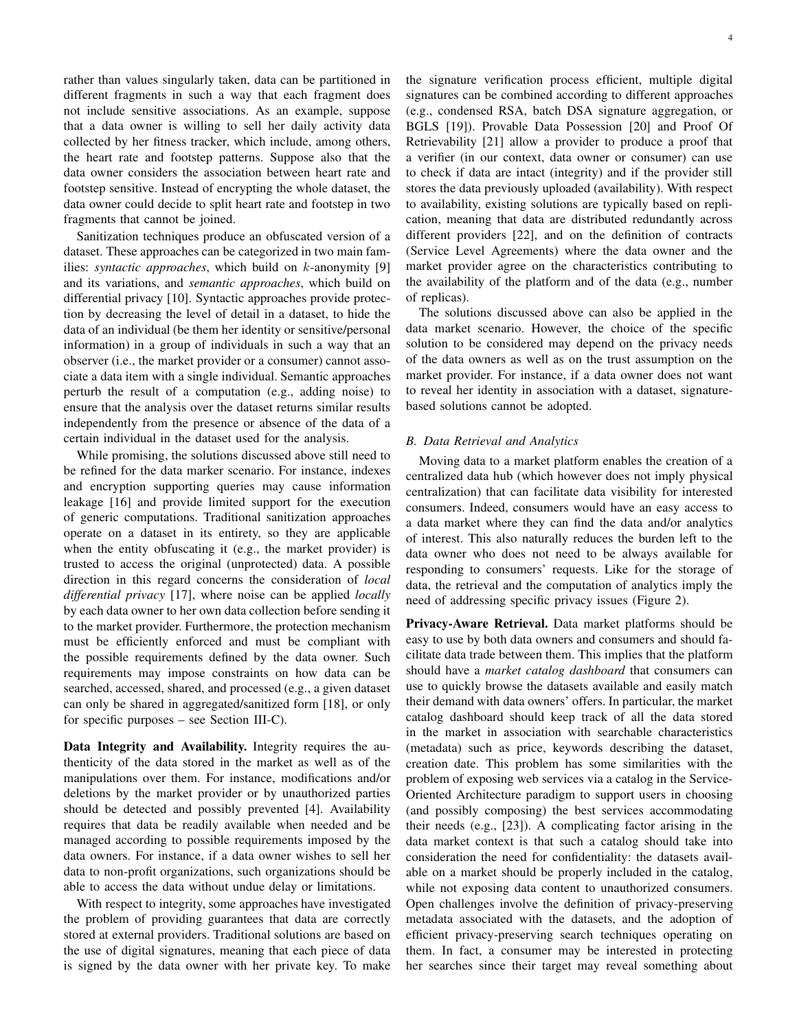rather than values singularly taken, data can be partitioned in different fragments in such a way that each fragment does not include sensitive associations. As an example, suppose that a data owner is willing to sell her daily activity data collected by her fitness tracker, which include, among others, the heart rate and footstep patterns. Suppose also that the data owner considers the association between heart rate and footstep sensitive. Instead of encrypting the whole dataset, the data owner could decide to split heart rate and footstep in two fragments that cannot be joined.

Sanitization techniques produce an obfuscated version of a dataset. These approaches can be categorized in two main families: *syntactic approaches*, which build on k-anonymity [9] and its variations, and *semantic approaches*, which build on differential privacy [10]. Syntactic approaches provide protection by decreasing the level of detail in a dataset, to hide the data of an individual (be them her identity or sensitive/personal information) in a group of individuals in such a way that an observer (i.e., the market provider or a consumer) cannot associate a data item with a single individual. Semantic approaches perturb the result of a computation (e.g., adding noise) to ensure that the analysis over the dataset returns similar results independently from the presence or absence of the data of a certain individual in the dataset used for the analysis.

While promising, the solutions discussed above still need to be refined for the data marker scenario. For instance, indexes and encryption supporting queries may cause information leakage [16] and provide limited support for the execution of generic computations. Traditional sanitization approaches operate on a dataset in its entirety, so they are applicable when the entity obfuscating it (e.g., the market provider) is trusted to access the original (unprotected) data. A possible direction in this regard concerns the consideration of *local differential privacy* [17], where noise can be applied *locally* by each data owner to her own data collection before sending it to the market provider. Furthermore, the protection mechanism must be efficiently enforced and must be compliant with the possible requirements defined by the data owner. Such requirements may impose constraints on how data can be searched, accessed, shared, and processed (e.g., a given dataset can only be shared in aggregated/sanitized form [18], or only for specific purposes – see Section III-C).

Data Integrity and Availability. Integrity requires the authenticity of the data stored in the market as well as of the manipulations over them. For instance, modifications and/or deletions by the market provider or by unauthorized parties should be detected and possibly prevented [4]. Availability requires that data be readily available when needed and be managed according to possible requirements imposed by the data owners. For instance, if a data owner wishes to sell her data to non-profit organizations, such organizations should be able to access the data without undue delay or limitations.

With respect to integrity, some approaches have investigated the problem of providing guarantees that data are correctly stored at external providers. Traditional solutions are based on the use of digital signatures, meaning that each piece of data is signed by the data owner with her private key. To make

the signature verification process efficient, multiple digital signatures can be combined according to different approaches (e.g., condensed RSA, batch DSA signature aggregation, or BGLS [19]). Provable Data Possession [20] and Proof Of Retrievability [21] allow a provider to produce a proof that a verifier (in our context, data owner or consumer) can use to check if data are intact (integrity) and if the provider still stores the data previously uploaded (availability). With respect to availability, existing solutions are typically based on replication, meaning that data are distributed redundantly across different providers [22], and on the definition of contracts (Service Level Agreements) where the data owner and the market provider agree on the characteristics contributing to the availability of the platform and of the data (e.g., number of replicas).

The solutions discussed above can also be applied in the data market scenario. However, the choice of the specific solution to be considered may depend on the privacy needs of the data owners as well as on the trust assumption on the market provider. For instance, if a data owner does not want to reveal her identity in association with a dataset, signaturebased solutions cannot be adopted.

### *B. Data Retrieval and Analytics*

Moving data to a market platform enables the creation of a centralized data hub (which however does not imply physical centralization) that can facilitate data visibility for interested consumers. Indeed, consumers would have an easy access to a data market where they can find the data and/or analytics of interest. This also naturally reduces the burden left to the data owner who does not need to be always available for responding to consumers' requests. Like for the storage of data, the retrieval and the computation of analytics imply the need of addressing specific privacy issues (Figure 2).

Privacy-Aware Retrieval. Data market platforms should be easy to use by both data owners and consumers and should facilitate data trade between them. This implies that the platform should have a *market catalog dashboard* that consumers can use to quickly browse the datasets available and easily match their demand with data owners' offers. In particular, the market catalog dashboard should keep track of all the data stored in the market in association with searchable characteristics (metadata) such as price, keywords describing the dataset, creation date. This problem has some similarities with the problem of exposing web services via a catalog in the Service-Oriented Architecture paradigm to support users in choosing (and possibly composing) the best services accommodating their needs (e.g., [23]). A complicating factor arising in the data market context is that such a catalog should take into consideration the need for confidentiality: the datasets available on a market should be properly included in the catalog, while not exposing data content to unauthorized consumers. Open challenges involve the definition of privacy-preserving metadata associated with the datasets, and the adoption of efficient privacy-preserving search techniques operating on them. In fact, a consumer may be interested in protecting her searches since their target may reveal something about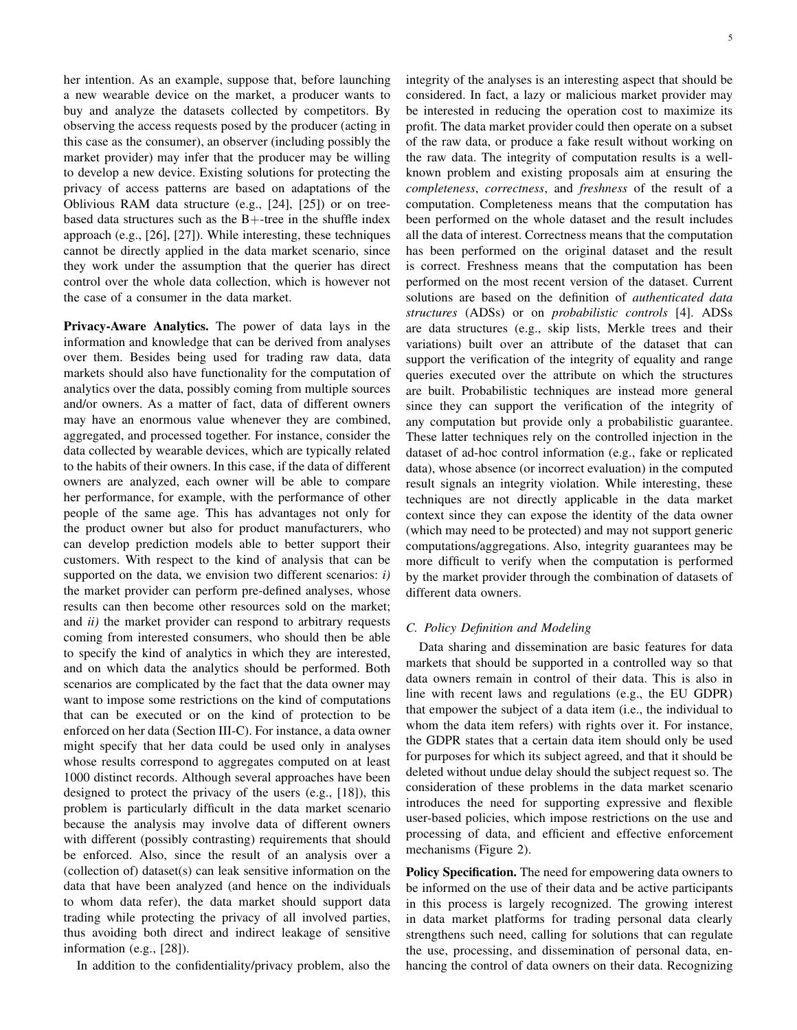her intention. As an example, suppose that, before launching a new wearable device on the market, a producer wants to buy and analyze the datasets collected by competitors. By observing the access requests posed by the producer (acting in this case as the consumer), an observer (including possibly the market provider) may infer that the producer may be willing to develop a new device. Existing solutions for protecting the privacy of access patterns are based on adaptations of the Oblivious RAM data structure (e.g., [24], [25]) or on treebased data structures such as the  $B+$ -tree in the shuffle index approach (e.g., [26], [27]). While interesting, these techniques cannot be directly applied in the data market scenario, since they work under the assumption that the querier has direct control over the whole data collection, which is however not the case of a consumer in the data market.

Privacy-Aware Analytics. The power of data lays in the information and knowledge that can be derived from analyses over them. Besides being used for trading raw data, data markets should also have functionality for the computation of analytics over the data, possibly coming from multiple sources and/or owners. As a matter of fact, data of different owners may have an enormous value whenever they are combined, aggregated, and processed together. For instance, consider the data collected by wearable devices, which are typically related to the habits of their owners. In this case, if the data of different owners are analyzed, each owner will be able to compare her performance, for example, with the performance of other people of the same age. This has advantages not only for the product owner but also for product manufacturers, who can develop prediction models able to better support their customers. With respect to the kind of analysis that can be supported on the data, we envision two different scenarios: *i)* the market provider can perform pre-defined analyses, whose results can then become other resources sold on the market; and *ii)* the market provider can respond to arbitrary requests coming from interested consumers, who should then be able to specify the kind of analytics in which they are interested, and on which data the analytics should be performed. Both scenarios are complicated by the fact that the data owner may want to impose some restrictions on the kind of computations that can be executed or on the kind of protection to be enforced on her data (Section III-C). For instance, a data owner might specify that her data could be used only in analyses whose results correspond to aggregates computed on at least 1000 distinct records. Although several approaches have been designed to protect the privacy of the users (e.g., [18]), this problem is particularly difficult in the data market scenario because the analysis may involve data of different owners with different (possibly contrasting) requirements that should be enforced. Also, since the result of an analysis over a (collection of) dataset(s) can leak sensitive information on the data that have been analyzed (and hence on the individuals to whom data refer), the data market should support data trading while protecting the privacy of all involved parties, thus avoiding both direct and indirect leakage of sensitive information (e.g., [28]).

In addition to the confidentiality/privacy problem, also the

integrity of the analyses is an interesting aspect that should be considered. In fact, a lazy or malicious market provider may be interested in reducing the operation cost to maximize its profit. The data market provider could then operate on a subset of the raw data, or produce a fake result without working on the raw data. The integrity of computation results is a wellknown problem and existing proposals aim at ensuring the *completeness*, *correctness*, and *freshness* of the result of a computation. Completeness means that the computation has been performed on the whole dataset and the result includes all the data of interest. Correctness means that the computation has been performed on the original dataset and the result is correct. Freshness means that the computation has been performed on the most recent version of the dataset. Current solutions are based on the definition of *authenticated data structures* (ADSs) or on *probabilistic controls* [4]. ADSs are data structures (e.g., skip lists, Merkle trees and their variations) built over an attribute of the dataset that can support the verification of the integrity of equality and range queries executed over the attribute on which the structures are built. Probabilistic techniques are instead more general since they can support the verification of the integrity of any computation but provide only a probabilistic guarantee. These latter techniques rely on the controlled injection in the dataset of ad-hoc control information (e.g., fake or replicated data), whose absence (or incorrect evaluation) in the computed result signals an integrity violation. While interesting, these techniques are not directly applicable in the data market context since they can expose the identity of the data owner (which may need to be protected) and may not support generic computations/aggregations. Also, integrity guarantees may be more difficult to verify when the computation is performed by the market provider through the combination of datasets of different data owners.

### *C. Policy Definition and Modeling*

Data sharing and dissemination are basic features for data markets that should be supported in a controlled way so that data owners remain in control of their data. This is also in line with recent laws and regulations (e.g., the EU GDPR) that empower the subject of a data item (i.e., the individual to whom the data item refers) with rights over it. For instance, the GDPR states that a certain data item should only be used for purposes for which its subject agreed, and that it should be deleted without undue delay should the subject request so. The consideration of these problems in the data market scenario introduces the need for supporting expressive and flexible user-based policies, which impose restrictions on the use and processing of data, and efficient and effective enforcement mechanisms (Figure 2).

Policy Specification. The need for empowering data owners to be informed on the use of their data and be active participants in this process is largely recognized. The growing interest in data market platforms for trading personal data clearly strengthens such need, calling for solutions that can regulate the use, processing, and dissemination of personal data, enhancing the control of data owners on their data. Recognizing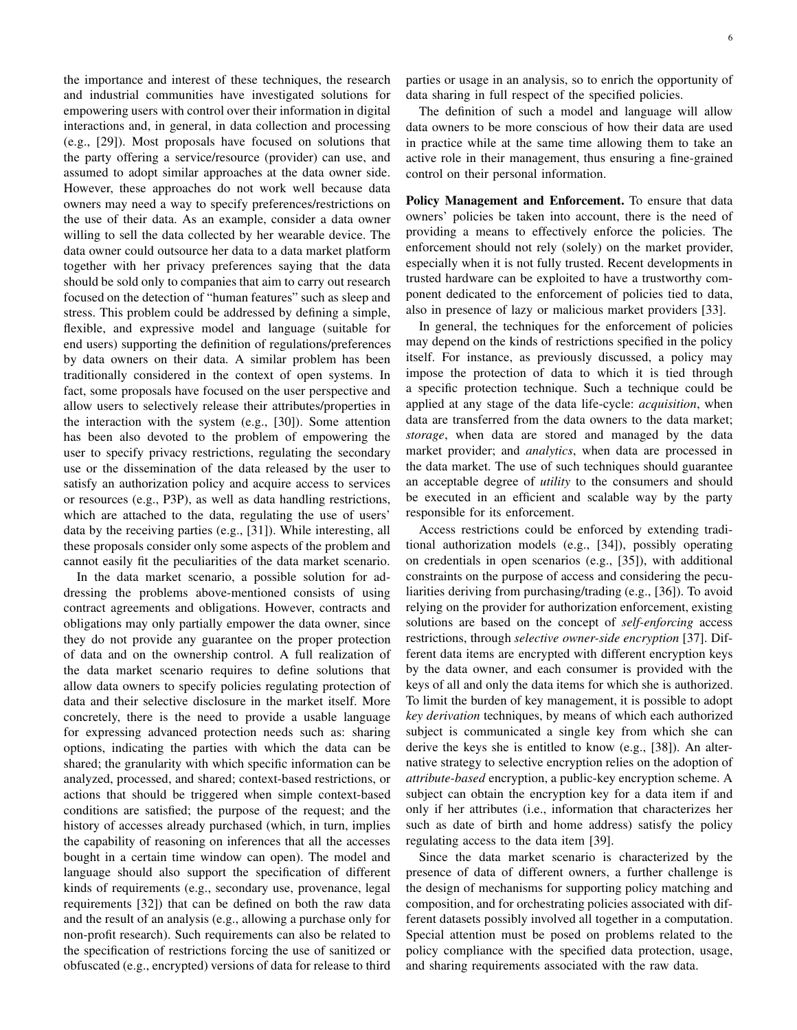the importance and interest of these techniques, the research and industrial communities have investigated solutions for empowering users with control over their information in digital interactions and, in general, in data collection and processing (e.g., [29]). Most proposals have focused on solutions that the party offering a service/resource (provider) can use, and assumed to adopt similar approaches at the data owner side. However, these approaches do not work well because data owners may need a way to specify preferences/restrictions on the use of their data. As an example, consider a data owner willing to sell the data collected by her wearable device. The data owner could outsource her data to a data market platform together with her privacy preferences saying that the data should be sold only to companies that aim to carry out research focused on the detection of "human features" such as sleep and stress. This problem could be addressed by defining a simple, flexible, and expressive model and language (suitable for end users) supporting the definition of regulations/preferences by data owners on their data. A similar problem has been traditionally considered in the context of open systems. In fact, some proposals have focused on the user perspective and allow users to selectively release their attributes/properties in the interaction with the system (e.g., [30]). Some attention has been also devoted to the problem of empowering the user to specify privacy restrictions, regulating the secondary use or the dissemination of the data released by the user to satisfy an authorization policy and acquire access to services or resources (e.g., P3P), as well as data handling restrictions, which are attached to the data, regulating the use of users' data by the receiving parties (e.g., [31]). While interesting, all these proposals consider only some aspects of the problem and cannot easily fit the peculiarities of the data market scenario.

In the data market scenario, a possible solution for addressing the problems above-mentioned consists of using contract agreements and obligations. However, contracts and obligations may only partially empower the data owner, since they do not provide any guarantee on the proper protection of data and on the ownership control. A full realization of the data market scenario requires to define solutions that allow data owners to specify policies regulating protection of data and their selective disclosure in the market itself. More concretely, there is the need to provide a usable language for expressing advanced protection needs such as: sharing options, indicating the parties with which the data can be shared; the granularity with which specific information can be analyzed, processed, and shared; context-based restrictions, or actions that should be triggered when simple context-based conditions are satisfied; the purpose of the request; and the history of accesses already purchased (which, in turn, implies the capability of reasoning on inferences that all the accesses bought in a certain time window can open). The model and language should also support the specification of different kinds of requirements (e.g., secondary use, provenance, legal requirements [32]) that can be defined on both the raw data and the result of an analysis (e.g., allowing a purchase only for non-profit research). Such requirements can also be related to the specification of restrictions forcing the use of sanitized or obfuscated (e.g., encrypted) versions of data for release to third

parties or usage in an analysis, so to enrich the opportunity of data sharing in full respect of the specified policies.

The definition of such a model and language will allow data owners to be more conscious of how their data are used in practice while at the same time allowing them to take an active role in their management, thus ensuring a fine-grained control on their personal information.

Policy Management and Enforcement. To ensure that data owners' policies be taken into account, there is the need of providing a means to effectively enforce the policies. The enforcement should not rely (solely) on the market provider, especially when it is not fully trusted. Recent developments in trusted hardware can be exploited to have a trustworthy component dedicated to the enforcement of policies tied to data, also in presence of lazy or malicious market providers [33].

In general, the techniques for the enforcement of policies may depend on the kinds of restrictions specified in the policy itself. For instance, as previously discussed, a policy may impose the protection of data to which it is tied through a specific protection technique. Such a technique could be applied at any stage of the data life-cycle: *acquisition*, when data are transferred from the data owners to the data market; *storage*, when data are stored and managed by the data market provider; and *analytics*, when data are processed in the data market. The use of such techniques should guarantee an acceptable degree of *utility* to the consumers and should be executed in an efficient and scalable way by the party responsible for its enforcement.

Access restrictions could be enforced by extending traditional authorization models (e.g., [34]), possibly operating on credentials in open scenarios (e.g., [35]), with additional constraints on the purpose of access and considering the peculiarities deriving from purchasing/trading (e.g., [36]). To avoid relying on the provider for authorization enforcement, existing solutions are based on the concept of *self-enforcing* access restrictions, through *selective owner-side encryption* [37]. Different data items are encrypted with different encryption keys by the data owner, and each consumer is provided with the keys of all and only the data items for which she is authorized. To limit the burden of key management, it is possible to adopt *key derivation* techniques, by means of which each authorized subject is communicated a single key from which she can derive the keys she is entitled to know (e.g., [38]). An alternative strategy to selective encryption relies on the adoption of *attribute-based* encryption, a public-key encryption scheme. A subject can obtain the encryption key for a data item if and only if her attributes (i.e., information that characterizes her such as date of birth and home address) satisfy the policy regulating access to the data item [39].

Since the data market scenario is characterized by the presence of data of different owners, a further challenge is the design of mechanisms for supporting policy matching and composition, and for orchestrating policies associated with different datasets possibly involved all together in a computation. Special attention must be posed on problems related to the policy compliance with the specified data protection, usage, and sharing requirements associated with the raw data.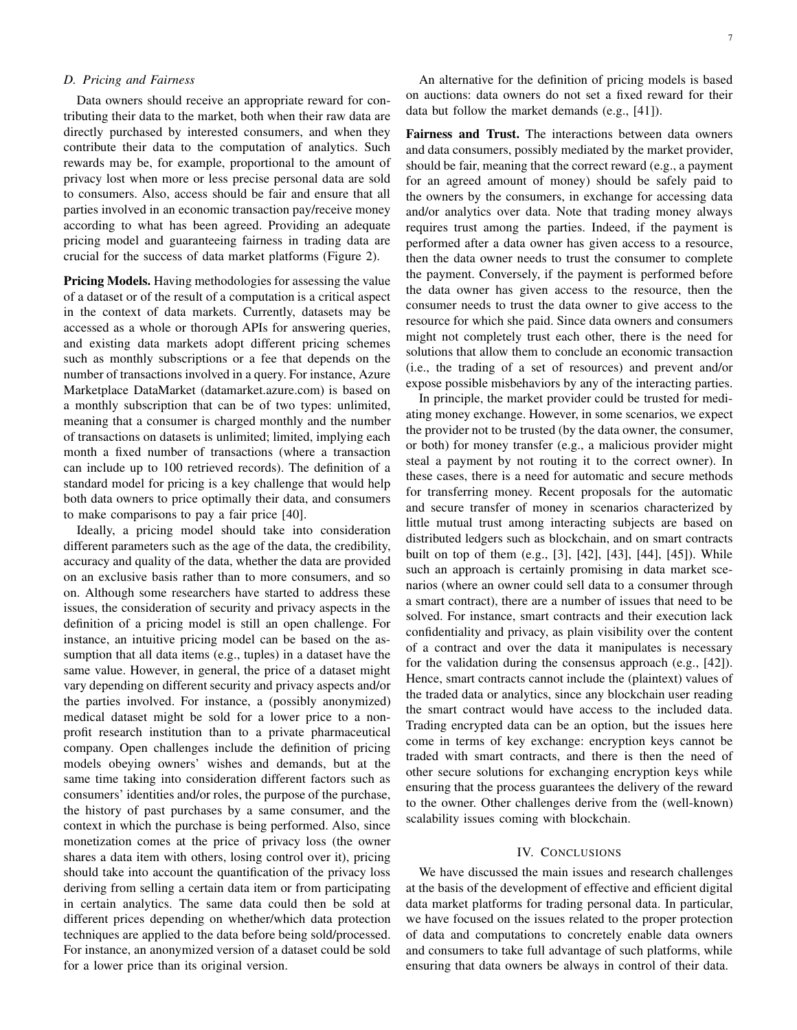# *D. Pricing and Fairness*

Data owners should receive an appropriate reward for contributing their data to the market, both when their raw data are directly purchased by interested consumers, and when they contribute their data to the computation of analytics. Such rewards may be, for example, proportional to the amount of privacy lost when more or less precise personal data are sold to consumers. Also, access should be fair and ensure that all parties involved in an economic transaction pay/receive money according to what has been agreed. Providing an adequate pricing model and guaranteeing fairness in trading data are crucial for the success of data market platforms (Figure 2).

Pricing Models. Having methodologies for assessing the value of a dataset or of the result of a computation is a critical aspect in the context of data markets. Currently, datasets may be accessed as a whole or thorough APIs for answering queries, and existing data markets adopt different pricing schemes such as monthly subscriptions or a fee that depends on the number of transactions involved in a query. For instance, Azure Marketplace DataMarket (datamarket.azure.com) is based on a monthly subscription that can be of two types: unlimited, meaning that a consumer is charged monthly and the number of transactions on datasets is unlimited; limited, implying each month a fixed number of transactions (where a transaction can include up to 100 retrieved records). The definition of a standard model for pricing is a key challenge that would help both data owners to price optimally their data, and consumers to make comparisons to pay a fair price [40].

Ideally, a pricing model should take into consideration different parameters such as the age of the data, the credibility, accuracy and quality of the data, whether the data are provided on an exclusive basis rather than to more consumers, and so on. Although some researchers have started to address these issues, the consideration of security and privacy aspects in the definition of a pricing model is still an open challenge. For instance, an intuitive pricing model can be based on the assumption that all data items (e.g., tuples) in a dataset have the same value. However, in general, the price of a dataset might vary depending on different security and privacy aspects and/or the parties involved. For instance, a (possibly anonymized) medical dataset might be sold for a lower price to a nonprofit research institution than to a private pharmaceutical company. Open challenges include the definition of pricing models obeying owners' wishes and demands, but at the same time taking into consideration different factors such as consumers' identities and/or roles, the purpose of the purchase, the history of past purchases by a same consumer, and the context in which the purchase is being performed. Also, since monetization comes at the price of privacy loss (the owner shares a data item with others, losing control over it), pricing should take into account the quantification of the privacy loss deriving from selling a certain data item or from participating in certain analytics. The same data could then be sold at different prices depending on whether/which data protection techniques are applied to the data before being sold/processed. For instance, an anonymized version of a dataset could be sold for a lower price than its original version.

An alternative for the definition of pricing models is based on auctions: data owners do not set a fixed reward for their data but follow the market demands (e.g., [41]).

Fairness and Trust. The interactions between data owners and data consumers, possibly mediated by the market provider, should be fair, meaning that the correct reward (e.g., a payment for an agreed amount of money) should be safely paid to the owners by the consumers, in exchange for accessing data and/or analytics over data. Note that trading money always requires trust among the parties. Indeed, if the payment is performed after a data owner has given access to a resource, then the data owner needs to trust the consumer to complete the payment. Conversely, if the payment is performed before the data owner has given access to the resource, then the consumer needs to trust the data owner to give access to the resource for which she paid. Since data owners and consumers might not completely trust each other, there is the need for solutions that allow them to conclude an economic transaction (i.e., the trading of a set of resources) and prevent and/or expose possible misbehaviors by any of the interacting parties.

In principle, the market provider could be trusted for mediating money exchange. However, in some scenarios, we expect the provider not to be trusted (by the data owner, the consumer, or both) for money transfer (e.g., a malicious provider might steal a payment by not routing it to the correct owner). In these cases, there is a need for automatic and secure methods for transferring money. Recent proposals for the automatic and secure transfer of money in scenarios characterized by little mutual trust among interacting subjects are based on distributed ledgers such as blockchain, and on smart contracts built on top of them (e.g., [3], [42], [43], [44], [45]). While such an approach is certainly promising in data market scenarios (where an owner could sell data to a consumer through a smart contract), there are a number of issues that need to be solved. For instance, smart contracts and their execution lack confidentiality and privacy, as plain visibility over the content of a contract and over the data it manipulates is necessary for the validation during the consensus approach (e.g., [42]). Hence, smart contracts cannot include the (plaintext) values of the traded data or analytics, since any blockchain user reading the smart contract would have access to the included data. Trading encrypted data can be an option, but the issues here come in terms of key exchange: encryption keys cannot be traded with smart contracts, and there is then the need of other secure solutions for exchanging encryption keys while ensuring that the process guarantees the delivery of the reward to the owner. Other challenges derive from the (well-known) scalability issues coming with blockchain.

### IV. CONCLUSIONS

We have discussed the main issues and research challenges at the basis of the development of effective and efficient digital data market platforms for trading personal data. In particular, we have focused on the issues related to the proper protection of data and computations to concretely enable data owners and consumers to take full advantage of such platforms, while ensuring that data owners be always in control of their data.